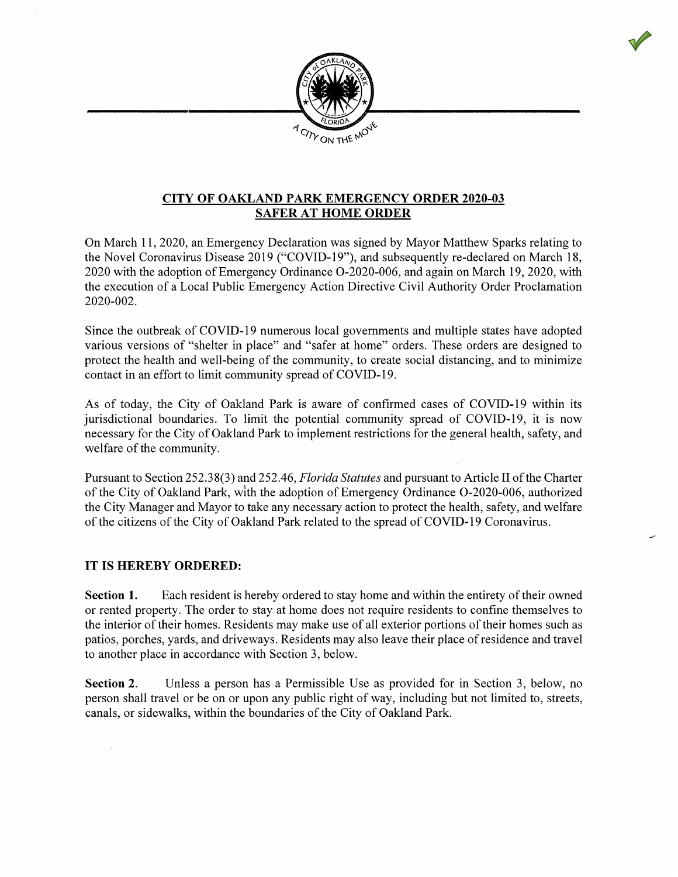

## CITY OF OAKLAND PARK EMERGENCY ORDER 2020-03 SAFER AT HOME ORDER

On March 11, 2020, an Emergency Declaration was signed by Mayor Matthew Sparks relating to the Novel Coronavirus Disease 2019 ("COVID-19"), and subsequently re-declared on March 18, 2020 with the adoption of Emergency Ordinance O-2020-006, and again on March 19, 2020, with the execution of a Local Public Emergency Action Directive Civil Authority Order Proclamation 2020-002.

Since the outbreak of COVID-19 numerous local governments and multiple states have adopted various versions of "shelter in place" and "safer at home" orders. These orders are designed to protect the health and well-being of the community, to create social distancing, and to minimize contact in an effort to limit community spread of COVID-19.  $\overline{c}$ 

As of today, the City of Oakland Park is aware of confirmed cases of COVID-19 within its jurisdictional boundaries. To limit the potential community spread of COVID-19, it is now necessary for the City of Oakland Park to implement restrictions for the general health, safety, and welfare of the community.

Pursuant to Section 252.38(3) and 252.46, Florida Statutes and pursuant to Article Il of the Charter of the City of Oakland Park, with the adoption of Emergency Ordinance O-2020-006, authorized the City Manager and Mayor to take any necessary action to protect the health, safety, and welfare of the citizens of the City of Oakland Park related to the spread of COVID-19 Coronavirus. the citizens of the City of Oakland Park related to the spread of COVID-19 Coronavirus.

## IT IS HEREBY ORDERED:

Section 1. Each resident is hereby ordered to stay home and within the entirety of their owned or rented property. The order to stay at home does not require residents to confine themselves to the interior of their homes. Residents may make use of all exterior portions of their homes such as patios, porches, yards, and driveways. Residents may also leave their place of residence and travel to another place in accordance with Section 3, below.

Section 2. Unless a person has a Permissible Use as provided for in Section 3, below, no person shall travel or be on or upon any public right of way, including but not limited to, streets, canals, or sidewalks, within the boundaries of the City of Oakland Park.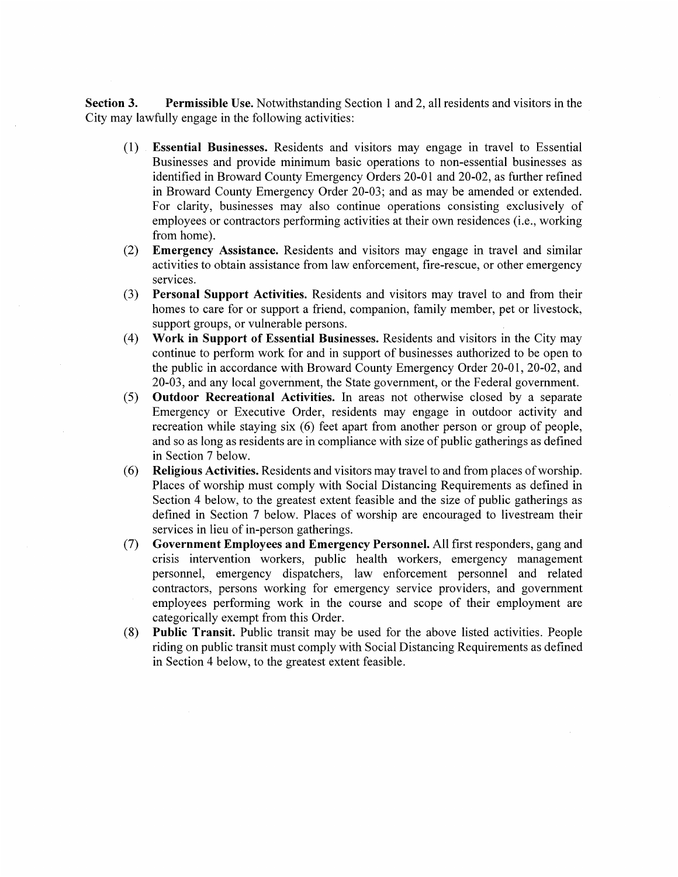Section 3. Permissible Use. Notwithstanding Section 1 and 2, all residents and visitors in the City may lawfully engage in the following activities:

- (1) Essential Businesses. Residents and visitors may engage in travel to Essential Businesses and provide minimum basic operations to non-essential businesses as identified in Broward County Emergency Orders 20-01 and 20-02, as further refined in Broward County Emergency Order 20-03; and as may be amended or extended. For clarity, businesses may also continue operations consisting exclusively of employees or contractors performing activities at their own residences (i.e., working contractors performing activities at the intervention residences (i.e., working from home).
- $(2)$  Emergency Assistance. Residents and visitors may engage in travel and similar activities to  $\epsilon$ activities to obtain assistance from law enforcement, fire-rescue, or other emergency services.
- (3) Personal Support Activities. Residents and visitors may travel to and from their homes to care for or support a friend, companion, family member, pet or livestock, support groups, or vulnerable persons.
- (4) Work in Support of Essential Businesses. Residents and visitors in the City may continue to perform work for and in support of businesses authorized to be open to the public in accordance with Broward County Emergency Order 20-01, 20-02, and 20-03, and any local government, the State government, or the Federal government.  $\epsilon$   $\approx$   $\epsilon$   $\approx$   $\epsilon$
- $(5)$  **Outdoor Recreational Activities.** In areas not otherwise closed by a separate Emergency or Executive Order, residents may engage in outdoor activity and recreation while staying six (6) feet apart from another person or group of people, and so as long as residents are in compliance with size of public gatherings as defined in Section 7 below.
- $(6)$  Religious Activities. Residents and visitors may travel to and from places of worship. Places of worship must comply with Social Distancing Requirements as defined in Section 4 below, to the greatest extent feasible and the size of public gatherings as defined in Section 7 below. Places of worship are encouraged to livestream their services in lieu of in-person gatherings.
- (7) Government Employees and Emergency Personnel. All first responders, gang and crisis intervention workers, public health workers, emergency management personnel, emergency dispatchers, law enforcement personnel and related contractors, persons working for emergency service providers, and government employees performing work in the course and scope of their employment are the categorically exempt from this Order.<br>
(8) **Public Transit.** Public transit may be
- Public Transit. Public transit may be used for the above listed activities. People riding on public transit must comply with Social Distancing Requirements as defined in Section 4 below, to the greatest extent feasible.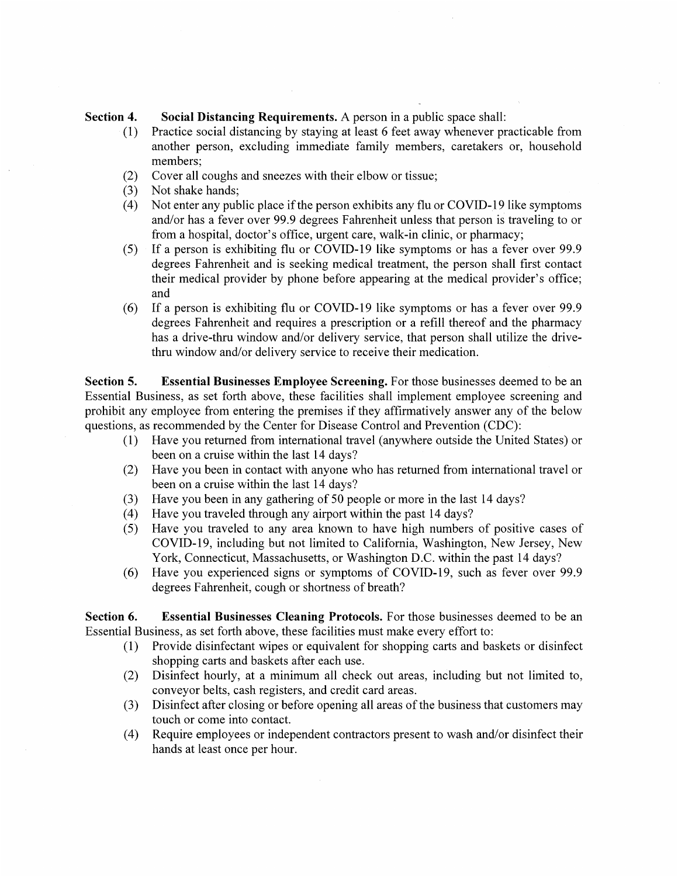## Section 4. Social Distancing Requirements. A person in a public space shall:

- (1) Practice social distancing by staying at least 6 feet away whenever practicable from another person, excluding immediate family members, caretakers or, household members:
- (2) Cover all coughs and sncezes with their elbow or tissue;
- (3) Not shake hands;
- (4) Not enter any public place if the person exhibits any flu or COVID-19 like symptoms and/or has a fever over 99.9 degrees Fahrenheit unless that person is traveling to or from a hospital, doctor's office, urgent care, walk-in clinic, or pharmacy;<br>(5) If a person is exhibiting flu or COVID-19 like symptoms or has a fever
- If a person is exhibiting flu or COVID-19 like symptoms or has a fever over 99.9 degrees Fahrenheit and is seeking medical treatment, the person shall first contact their medical provider by phone before appearing at the medical provider's office; provider by phone before and medical provider and medical provider  $\mathbf{r}$  and  $\mathbf{r}$ 
	- (6) If a person is exhibiting flu or COVID-19 like symptoms or has a fever over  $99.9$ degrees Fahrenheit and requires a prescription or a refill thereof and the pharmacy has a drive-thru window and/or delivery service, that person shall utilize the drive-<br>thru window and/or delivery service to receive their medication.

Section 5. Essential Businesses Employee Screening. For those businesses deemed to be an Essential Business, as set forth above, these facilities shall implement employee screening and prohibit any employee from entering the premises if they affirmatively answer any of the below questions, as recommended by the Center for Disease Control and Prevention (CDC):

- $(1)$  Have you returned from international travel (anywhere outside the United States) or been on a cruise within the last 14 days?
- $(2)$  Have you been in contact with anyone who has returned from international travel or been on a cruise within the last 14 days?<br>(3) Have you been in any gathering of 50 per
- Have you been in any gathering of 50 people or more in the last 14 days?
- (4) Have you traveled through any airport within the past 14 days?
- $(5)$  Have you traveled to any area known to have high numbers of positive cases of COVID-19, including but not limited to California, Washington, New Jersey, New York, Connecticut, Massachusetts, or Washington D.C. within the past 14 days?<br>(6) Have you experienced signs or symptoms of COVID-19, such as fever over 9
- Have you experienced signs or symptoms of COVID-19, such as fever over 99.9 degrees Fahrenheit, cough or shortness of breath?

Section 6. Essential Businesses Cleaning Protocols. For those businesses deemed to be an Essential Business, as set forth above, these facilities must make every effort to:

- (1) Provide disinfectant wipes or equivalent for shopping carts and baskets or disinfect shopping carts and shopping carts and baskets after each use.
- (2) Disinfect hourly, at a minimum all check out areas, including but not limited to, conveyor belts, cash registers, and credit card areas.
- (3) Disinfect after closing or before opening all areas of the business that customers may touch or come into
- (4) Require employees or independent contractors present to wash and/or disinfect their hands at least once per hour.